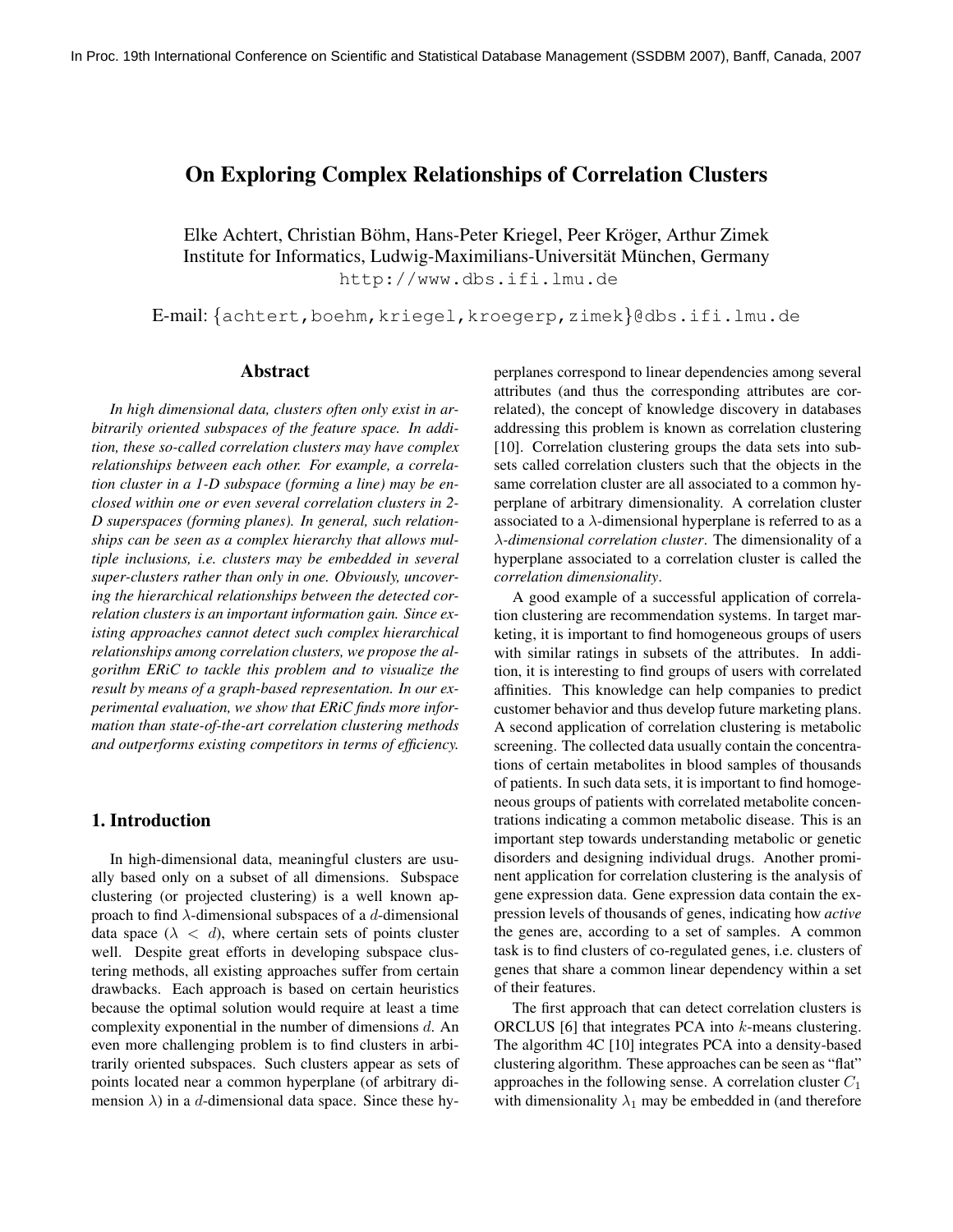## On Exploring Complex Relationships of Correlation Clusters

Elke Achtert, Christian Böhm, Hans-Peter Kriegel, Peer Kröger, Arthur Zimek Institute for Informatics, Ludwig-Maximilians-Universität München, Germany http://www.dbs.ifi.lmu.de

E-mail: {achtert,boehm,kriegel,kroegerp,zimek}@dbs.ifi.lmu.de

## Abstract

*In high dimensional data, clusters often only exist in arbitrarily oriented subspaces of the feature space. In addition, these so-called correlation clusters may have complex relationships between each other. For example, a correlation cluster in a 1-D subspace (forming a line) may be enclosed within one or even several correlation clusters in 2- D superspaces (forming planes). In general, such relationships can be seen as a complex hierarchy that allows multiple inclusions, i.e. clusters may be embedded in several super-clusters rather than only in one. Obviously, uncovering the hierarchical relationships between the detected correlation clusters is an important information gain. Since existing approaches cannot detect such complex hierarchical relationships among correlation clusters, we propose the algorithm ERiC to tackle this problem and to visualize the result by means of a graph-based representation. In our experimental evaluation, we show that ERiC finds more information than state-of-the-art correlation clustering methods and outperforms existing competitors in terms of efficiency.*

## 1. Introduction

In high-dimensional data, meaningful clusters are usually based only on a subset of all dimensions. Subspace clustering (or projected clustering) is a well known approach to find  $\lambda$ -dimensional subspaces of a d-dimensional data space  $(\lambda < d)$ , where certain sets of points cluster well. Despite great efforts in developing subspace clustering methods, all existing approaches suffer from certain drawbacks. Each approach is based on certain heuristics because the optimal solution would require at least a time complexity exponential in the number of dimensions  $d$ . An even more challenging problem is to find clusters in arbitrarily oriented subspaces. Such clusters appear as sets of points located near a common hyperplane (of arbitrary dimension  $\lambda$ ) in a d-dimensional data space. Since these hyperplanes correspond to linear dependencies among several attributes (and thus the corresponding attributes are correlated), the concept of knowledge discovery in databases addressing this problem is known as correlation clustering [10]. Correlation clustering groups the data sets into subsets called correlation clusters such that the objects in the same correlation cluster are all associated to a common hyperplane of arbitrary dimensionality. A correlation cluster associated to a  $\lambda$ -dimensional hyperplane is referred to as a λ*-dimensional correlation cluster*. The dimensionality of a hyperplane associated to a correlation cluster is called the *correlation dimensionality*.

A good example of a successful application of correlation clustering are recommendation systems. In target marketing, it is important to find homogeneous groups of users with similar ratings in subsets of the attributes. In addition, it is interesting to find groups of users with correlated affinities. This knowledge can help companies to predict customer behavior and thus develop future marketing plans. A second application of correlation clustering is metabolic screening. The collected data usually contain the concentrations of certain metabolites in blood samples of thousands of patients. In such data sets, it is important to find homogeneous groups of patients with correlated metabolite concentrations indicating a common metabolic disease. This is an important step towards understanding metabolic or genetic disorders and designing individual drugs. Another prominent application for correlation clustering is the analysis of gene expression data. Gene expression data contain the expression levels of thousands of genes, indicating how *active* the genes are, according to a set of samples. A common task is to find clusters of co-regulated genes, i.e. clusters of genes that share a common linear dependency within a set of their features.

The first approach that can detect correlation clusters is ORCLUS [6] that integrates PCA into k-means clustering. The algorithm 4C [10] integrates PCA into a density-based clustering algorithm. These approaches can be seen as "flat" approaches in the following sense. A correlation cluster  $C_1$ with dimensionality  $\lambda_1$  may be embedded in (and therefore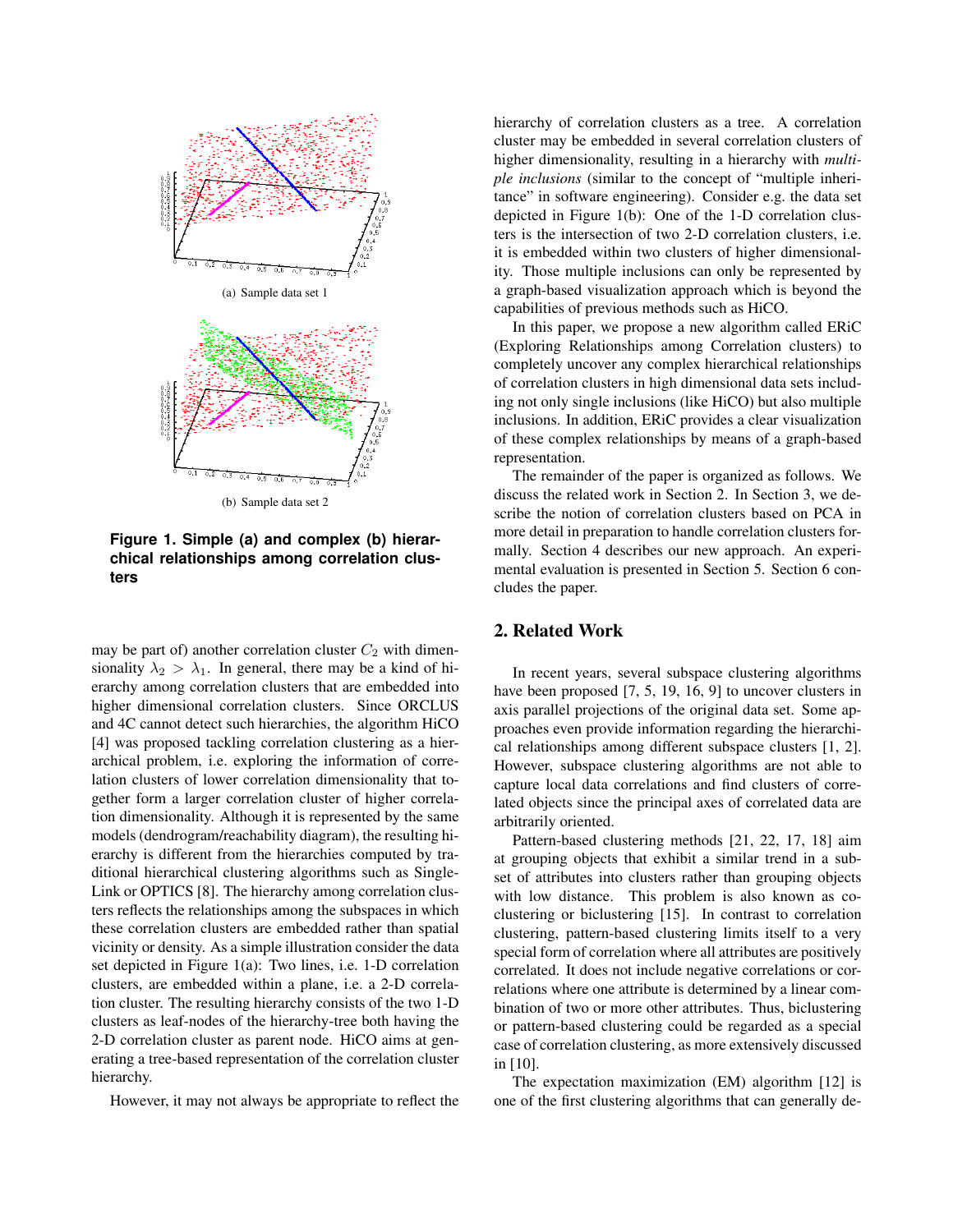

**Figure 1. Simple (a) and complex (b) hierarchical relationships among correlation clusters**

may be part of) another correlation cluster  $C_2$  with dimensionality  $\lambda_2 > \lambda_1$ . In general, there may be a kind of hierarchy among correlation clusters that are embedded into higher dimensional correlation clusters. Since ORCLUS and 4C cannot detect such hierarchies, the algorithm HiCO [4] was proposed tackling correlation clustering as a hierarchical problem, i.e. exploring the information of correlation clusters of lower correlation dimensionality that together form a larger correlation cluster of higher correlation dimensionality. Although it is represented by the same models (dendrogram/reachability diagram), the resulting hierarchy is different from the hierarchies computed by traditional hierarchical clustering algorithms such as Single-Link or OPTICS [8]. The hierarchy among correlation clusters reflects the relationships among the subspaces in which these correlation clusters are embedded rather than spatial vicinity or density. As a simple illustration consider the data set depicted in Figure 1(a): Two lines, i.e. 1-D correlation clusters, are embedded within a plane, i.e. a 2-D correlation cluster. The resulting hierarchy consists of the two 1-D clusters as leaf-nodes of the hierarchy-tree both having the 2-D correlation cluster as parent node. HiCO aims at generating a tree-based representation of the correlation cluster hierarchy.

However, it may not always be appropriate to reflect the

hierarchy of correlation clusters as a tree. A correlation cluster may be embedded in several correlation clusters of higher dimensionality, resulting in a hierarchy with *multiple inclusions* (similar to the concept of "multiple inheritance" in software engineering). Consider e.g. the data set depicted in Figure 1(b): One of the 1-D correlation clusters is the intersection of two 2-D correlation clusters, i.e. it is embedded within two clusters of higher dimensionality. Those multiple inclusions can only be represented by a graph-based visualization approach which is beyond the capabilities of previous methods such as HiCO.

In this paper, we propose a new algorithm called ERiC (Exploring Relationships among Correlation clusters) to completely uncover any complex hierarchical relationships of correlation clusters in high dimensional data sets including not only single inclusions (like HiCO) but also multiple inclusions. In addition, ERiC provides a clear visualization of these complex relationships by means of a graph-based representation.

The remainder of the paper is organized as follows. We discuss the related work in Section 2. In Section 3, we describe the notion of correlation clusters based on PCA in more detail in preparation to handle correlation clusters formally. Section 4 describes our new approach. An experimental evaluation is presented in Section 5. Section 6 concludes the paper.

## 2. Related Work

In recent years, several subspace clustering algorithms have been proposed [7, 5, 19, 16, 9] to uncover clusters in axis parallel projections of the original data set. Some approaches even provide information regarding the hierarchical relationships among different subspace clusters [1, 2]. However, subspace clustering algorithms are not able to capture local data correlations and find clusters of correlated objects since the principal axes of correlated data are arbitrarily oriented.

Pattern-based clustering methods [21, 22, 17, 18] aim at grouping objects that exhibit a similar trend in a subset of attributes into clusters rather than grouping objects with low distance. This problem is also known as coclustering or biclustering [15]. In contrast to correlation clustering, pattern-based clustering limits itself to a very special form of correlation where all attributes are positively correlated. It does not include negative correlations or correlations where one attribute is determined by a linear combination of two or more other attributes. Thus, biclustering or pattern-based clustering could be regarded as a special case of correlation clustering, as more extensively discussed in [10].

The expectation maximization (EM) algorithm [12] is one of the first clustering algorithms that can generally de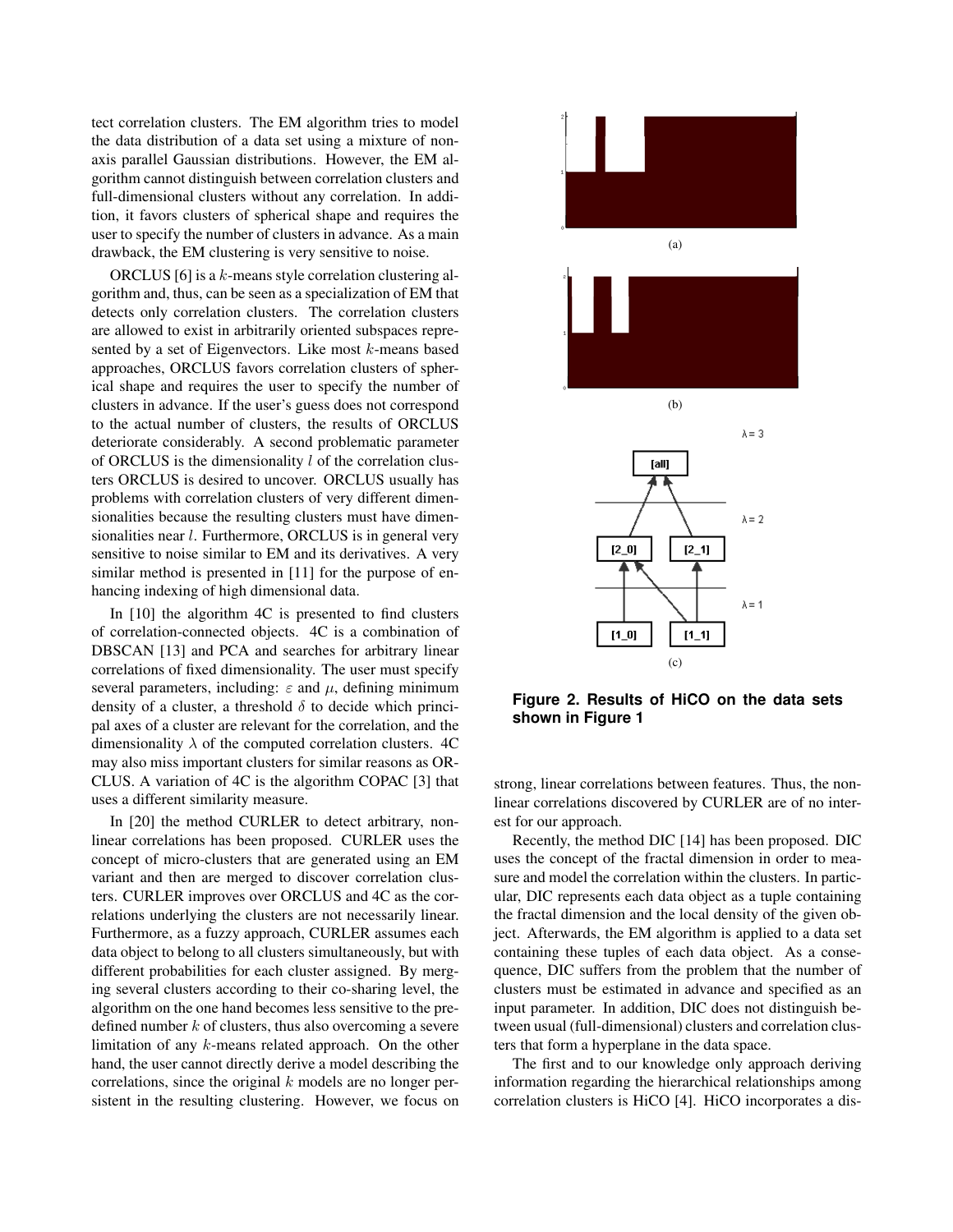tect correlation clusters. The EM algorithm tries to model the data distribution of a data set using a mixture of nonaxis parallel Gaussian distributions. However, the EM algorithm cannot distinguish between correlation clusters and full-dimensional clusters without any correlation. In addition, it favors clusters of spherical shape and requires the user to specify the number of clusters in advance. As a main drawback, the EM clustering is very sensitive to noise.

ORCLUS [6] is a  $k$ -means style correlation clustering algorithm and, thus, can be seen as a specialization of EM that detects only correlation clusters. The correlation clusters are allowed to exist in arbitrarily oriented subspaces represented by a set of Eigenvectors. Like most  $k$ -means based approaches, ORCLUS favors correlation clusters of spherical shape and requires the user to specify the number of clusters in advance. If the user's guess does not correspond to the actual number of clusters, the results of ORCLUS deteriorate considerably. A second problematic parameter of ORCLUS is the dimensionality  $l$  of the correlation clusters ORCLUS is desired to uncover. ORCLUS usually has problems with correlation clusters of very different dimensionalities because the resulting clusters must have dimensionalities near *l*. Furthermore, ORCLUS is in general very sensitive to noise similar to EM and its derivatives. A very similar method is presented in [11] for the purpose of enhancing indexing of high dimensional data.

In [10] the algorithm 4C is presented to find clusters of correlation-connected objects. 4C is a combination of DBSCAN [13] and PCA and searches for arbitrary linear correlations of fixed dimensionality. The user must specify several parameters, including:  $\varepsilon$  and  $\mu$ , defining minimum density of a cluster, a threshold  $\delta$  to decide which principal axes of a cluster are relevant for the correlation, and the dimensionality  $\lambda$  of the computed correlation clusters. 4C may also miss important clusters for similar reasons as OR-CLUS. A variation of 4C is the algorithm COPAC [3] that uses a different similarity measure.

In [20] the method CURLER to detect arbitrary, nonlinear correlations has been proposed. CURLER uses the concept of micro-clusters that are generated using an EM variant and then are merged to discover correlation clusters. CURLER improves over ORCLUS and 4C as the correlations underlying the clusters are not necessarily linear. Furthermore, as a fuzzy approach, CURLER assumes each data object to belong to all clusters simultaneously, but with different probabilities for each cluster assigned. By merging several clusters according to their co-sharing level, the algorithm on the one hand becomes less sensitive to the predefined number  $k$  of clusters, thus also overcoming a severe limitation of any k-means related approach. On the other hand, the user cannot directly derive a model describing the correlations, since the original  $k$  models are no longer persistent in the resulting clustering. However, we focus on





(b)



**Figure 2. Results of HiCO on the data sets shown in Figure 1**

strong, linear correlations between features. Thus, the nonlinear correlations discovered by CURLER are of no interest for our approach.

Recently, the method DIC [14] has been proposed. DIC uses the concept of the fractal dimension in order to measure and model the correlation within the clusters. In particular, DIC represents each data object as a tuple containing the fractal dimension and the local density of the given object. Afterwards, the EM algorithm is applied to a data set containing these tuples of each data object. As a consequence, DIC suffers from the problem that the number of clusters must be estimated in advance and specified as an input parameter. In addition, DIC does not distinguish between usual (full-dimensional) clusters and correlation clusters that form a hyperplane in the data space.

The first and to our knowledge only approach deriving information regarding the hierarchical relationships among correlation clusters is HiCO [4]. HiCO incorporates a dis-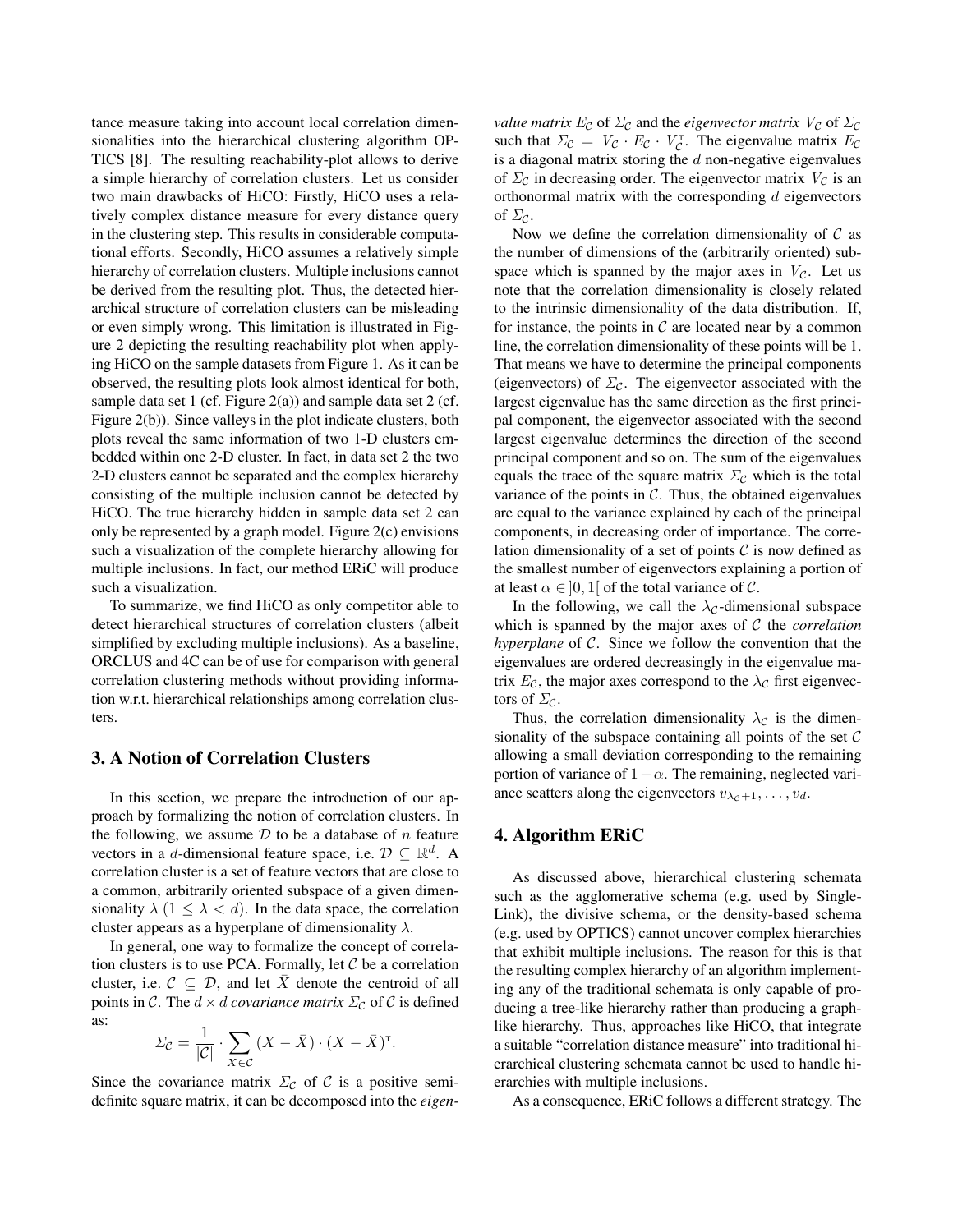tance measure taking into account local correlation dimensionalities into the hierarchical clustering algorithm OP-TICS [8]. The resulting reachability-plot allows to derive a simple hierarchy of correlation clusters. Let us consider two main drawbacks of HiCO: Firstly, HiCO uses a relatively complex distance measure for every distance query in the clustering step. This results in considerable computational efforts. Secondly, HiCO assumes a relatively simple hierarchy of correlation clusters. Multiple inclusions cannot be derived from the resulting plot. Thus, the detected hierarchical structure of correlation clusters can be misleading or even simply wrong. This limitation is illustrated in Figure 2 depicting the resulting reachability plot when applying HiCO on the sample datasets from Figure 1. As it can be observed, the resulting plots look almost identical for both, sample data set 1 (cf. Figure  $2(a)$ ) and sample data set 2 (cf. Figure 2(b)). Since valleys in the plot indicate clusters, both plots reveal the same information of two 1-D clusters embedded within one 2-D cluster. In fact, in data set 2 the two 2-D clusters cannot be separated and the complex hierarchy consisting of the multiple inclusion cannot be detected by HiCO. The true hierarchy hidden in sample data set 2 can only be represented by a graph model. Figure 2(c) envisions such a visualization of the complete hierarchy allowing for multiple inclusions. In fact, our method ERiC will produce such a visualization.

To summarize, we find HiCO as only competitor able to detect hierarchical structures of correlation clusters (albeit simplified by excluding multiple inclusions). As a baseline, ORCLUS and 4C can be of use for comparison with general correlation clustering methods without providing information w.r.t. hierarchical relationships among correlation clusters.

## 3. A Notion of Correlation Clusters

In this section, we prepare the introduction of our approach by formalizing the notion of correlation clusters. In the following, we assume  $D$  to be a database of  $n$  feature vectors in a d-dimensional feature space, i.e.  $D \subseteq \mathbb{R}^d$ . A correlation cluster is a set of feature vectors that are close to a common, arbitrarily oriented subspace of a given dimensionality  $\lambda$  (1  $\leq \lambda < d$ ). In the data space, the correlation cluster appears as a hyperplane of dimensionality  $\lambda$ .

In general, one way to formalize the concept of correlation clusters is to use PCA. Formally, let  $C$  be a correlation cluster, i.e.  $C \subseteq \mathcal{D}$ , and let  $\overline{X}$  denote the centroid of all points in C. The  $d \times d$  *covariance matrix*  $\Sigma_c$  of C is defined as:

$$
\Sigma_{\mathcal{C}} = \frac{1}{|\mathcal{C}|} \cdot \sum_{X \in \mathcal{C}} (X - \bar{X}) \cdot (X - \bar{X})^{\mathsf{T}}.
$$

Since the covariance matrix  $\Sigma_c$  of C is a positive semidefinite square matrix, it can be decomposed into the *eigen-*

*value matrix*  $E_c$  of  $\Sigma_c$  and the *eigenvector matrix*  $V_c$  of  $\Sigma_c$ such that  $\Sigma_c = V_c \cdot E_c \cdot V_c^{\dagger}$ . The eigenvalue matrix  $E_c$ is a diagonal matrix storing the  $d$  non-negative eigenvalues of  $\Sigma_c$  in decreasing order. The eigenvector matrix  $V_c$  is an orthonormal matrix with the corresponding  $d$  eigenvectors of  $\Sigma_c$ .

Now we define the correlation dimensionality of  $\mathcal C$  as the number of dimensions of the (arbitrarily oriented) subspace which is spanned by the major axes in  $V_c$ . Let us note that the correlation dimensionality is closely related to the intrinsic dimensionality of the data distribution. If, for instance, the points in  $\mathcal C$  are located near by a common line, the correlation dimensionality of these points will be 1. That means we have to determine the principal components (eigenvectors) of  $\Sigma_c$ . The eigenvector associated with the largest eigenvalue has the same direction as the first principal component, the eigenvector associated with the second largest eigenvalue determines the direction of the second principal component and so on. The sum of the eigenvalues equals the trace of the square matrix  $\Sigma_c$  which is the total variance of the points in  $C$ . Thus, the obtained eigenvalues are equal to the variance explained by each of the principal components, in decreasing order of importance. The correlation dimensionality of a set of points  $\mathcal C$  is now defined as the smallest number of eigenvectors explaining a portion of at least  $\alpha \in ]0,1[$  of the total variance of C.

In the following, we call the  $\lambda_c$ -dimensional subspace which is spanned by the major axes of C the *correlation hyperplane* of C. Since we follow the convention that the eigenvalues are ordered decreasingly in the eigenvalue matrix  $E_{\mathcal{C}}$ , the major axes correspond to the  $\lambda_{\mathcal{C}}$  first eigenvectors of  $\Sigma_{\mathcal{C}}$ .

Thus, the correlation dimensionality  $\lambda_c$  is the dimensionality of the subspace containing all points of the set  $C$ allowing a small deviation corresponding to the remaining portion of variance of  $1-\alpha$ . The remaining, neglected variance scatters along the eigenvectors  $v_{\lambda_c+1}, \ldots, v_d$ .

## 4. Algorithm ERiC

As discussed above, hierarchical clustering schemata such as the agglomerative schema (e.g. used by Single-Link), the divisive schema, or the density-based schema (e.g. used by OPTICS) cannot uncover complex hierarchies that exhibit multiple inclusions. The reason for this is that the resulting complex hierarchy of an algorithm implementing any of the traditional schemata is only capable of producing a tree-like hierarchy rather than producing a graphlike hierarchy. Thus, approaches like HiCO, that integrate a suitable "correlation distance measure" into traditional hierarchical clustering schemata cannot be used to handle hierarchies with multiple inclusions.

As a consequence, ERiC follows a different strategy. The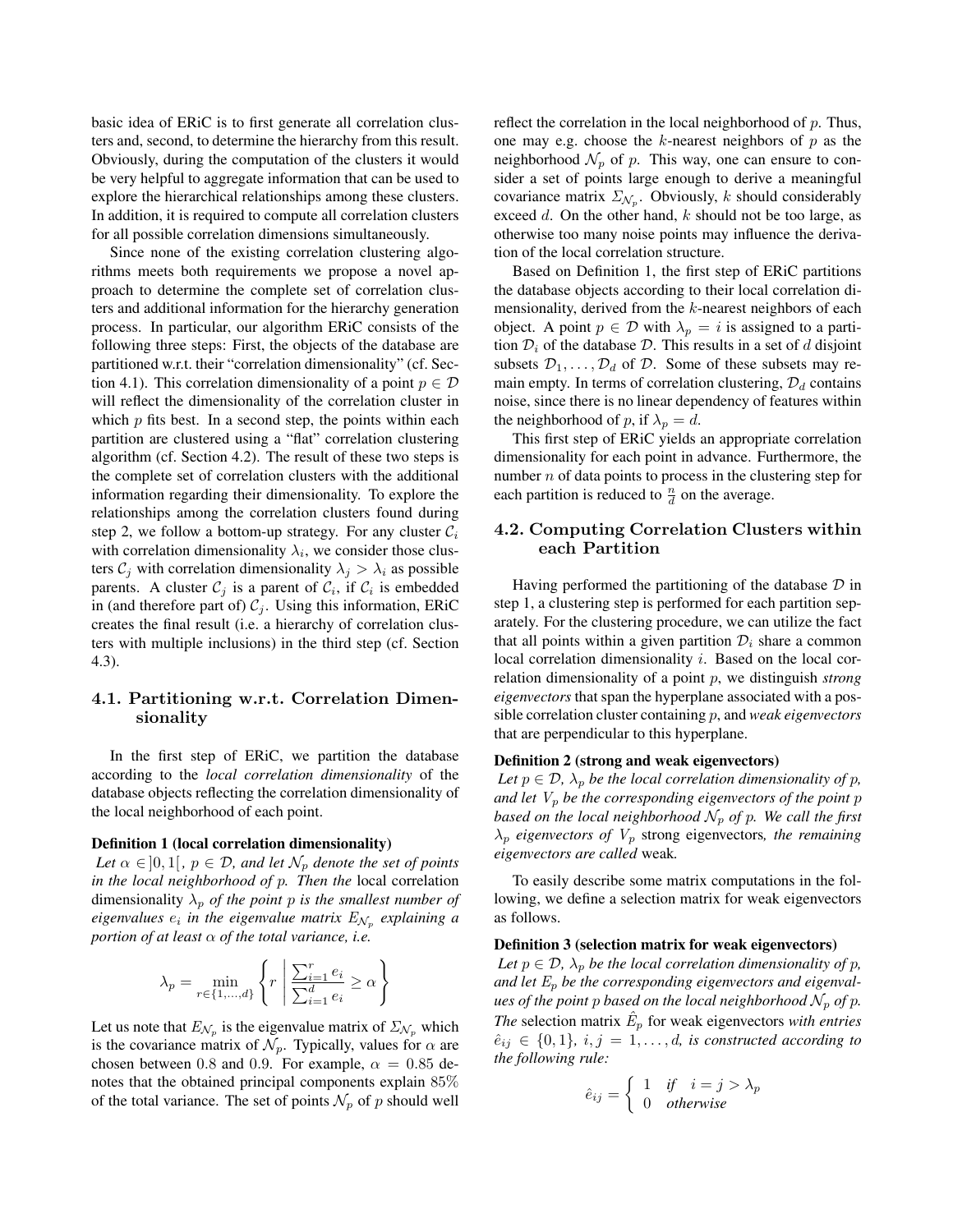basic idea of ERiC is to first generate all correlation clusters and, second, to determine the hierarchy from this result. Obviously, during the computation of the clusters it would be very helpful to aggregate information that can be used to explore the hierarchical relationships among these clusters. In addition, it is required to compute all correlation clusters for all possible correlation dimensions simultaneously.

Since none of the existing correlation clustering algorithms meets both requirements we propose a novel approach to determine the complete set of correlation clusters and additional information for the hierarchy generation process. In particular, our algorithm ERiC consists of the following three steps: First, the objects of the database are partitioned w.r.t. their "correlation dimensionality" (cf. Section 4.1). This correlation dimensionality of a point  $p \in \mathcal{D}$ will reflect the dimensionality of the correlation cluster in which  $p$  fits best. In a second step, the points within each partition are clustered using a "flat" correlation clustering algorithm (cf. Section 4.2). The result of these two steps is the complete set of correlation clusters with the additional information regarding their dimensionality. To explore the relationships among the correlation clusters found during step 2, we follow a bottom-up strategy. For any cluster  $C_i$ with correlation dimensionality  $\lambda_i$ , we consider those clusters  $C_i$  with correlation dimensionality  $\lambda_i > \lambda_i$  as possible parents. A cluster  $C_j$  is a parent of  $C_i$ , if  $C_i$  is embedded in (and therefore part of)  $C_j$ . Using this information, ERiC creates the final result (i.e. a hierarchy of correlation clusters with multiple inclusions) in the third step (cf. Section 4.3).

## **4.1. Partitioning w.r.t. Correlation Dimensionality**

In the first step of ERiC, we partition the database according to the *local correlation dimensionality* of the database objects reflecting the correlation dimensionality of the local neighborhood of each point.

#### Definition 1 (local correlation dimensionality)

*Let*  $\alpha \in ]0,1[$ ,  $p \in \mathcal{D}$ , and let  $\mathcal{N}_p$  denote the set of points *in the local neighborhood of* p*. Then the* local correlation dimensionality  $\lambda_p$  *of the point* p *is the smallest number of eigenvalues*  $e_i$  *in the eigenvalue matrix*  $E_{N_p}$  *explaining a portion of at least* α *of the total variance, i.e.*

$$
\lambda_p = \min_{r \in \{1, \dots, d\}} \left\{ r \mid \frac{\sum_{i=1}^r e_i}{\sum_{i=1}^d e_i} \ge \alpha \right\}
$$

Let us note that  $E_{\mathcal{N}_p}$  is the eigenvalue matrix of  $\Sigma_{\mathcal{N}_p}$  which is the covariance matrix of  $\mathcal{N}_p$ . Typically, values for  $\alpha$  are chosen between 0.8 and 0.9. For example,  $\alpha = 0.85$  denotes that the obtained principal components explain 85% of the total variance. The set of points  $\mathcal{N}_p$  of p should well

reflect the correlation in the local neighborhood of  $p$ . Thus, one may e.g. choose the  $k$ -nearest neighbors of  $p$  as the neighborhood  $\mathcal{N}_p$  of p. This way, one can ensure to consider a set of points large enough to derive a meaningful covariance matrix  $\Sigma_{\mathcal{N}_p}$ . Obviously, k should considerably exceed d. On the other hand,  $k$  should not be too large, as otherwise too many noise points may influence the derivation of the local correlation structure.

Based on Definition 1, the first step of ERiC partitions the database objects according to their local correlation dimensionality, derived from the  $k$ -nearest neighbors of each object. A point  $p \in \mathcal{D}$  with  $\lambda_p = i$  is assigned to a partition  $\mathcal{D}_i$  of the database  $\mathcal{D}$ . This results in a set of d disjoint subsets  $\mathcal{D}_1,\ldots,\mathcal{D}_d$  of  $\mathcal{D}$ . Some of these subsets may remain empty. In terms of correlation clustering,  $\mathcal{D}_d$  contains noise, since there is no linear dependency of features within the neighborhood of p, if  $\lambda_p = d$ .

This first step of ERiC yields an appropriate correlation dimensionality for each point in advance. Furthermore, the number  $n$  of data points to process in the clustering step for each partition is reduced to  $\frac{n}{d}$  on the average.

# **4.2. Computing Correlation Clusters within**

Having performed the partitioning of the database  $\mathcal D$  in step 1, a clustering step is performed for each partition separately. For the clustering procedure, we can utilize the fact that all points within a given partition  $\mathcal{D}_i$  share a common local correlation dimensionality *i*. Based on the local correlation dimensionality of a point p, we distinguish *strong eigenvectors* that span the hyperplane associated with a possible correlation cluster containing p, and *weak eigenvectors* that are perpendicular to this hyperplane.

## Definition 2 (strong and weak eigenvectors)

*Let*  $p \in \mathcal{D}$ ,  $\lambda_p$  *be the local correlation dimensionality of p, and let*  $V_p$  *be the corresponding eigenvectors of the point p based on the local neighborhood*  $\mathcal{N}_p$  *of* p. We call the first  $\lambda_p$  *eigenvectors of*  $V_p$  strong eigenvectors, the remaining *eigenvectors are called* weak*.*

To easily describe some matrix computations in the following, we define a selection matrix for weak eigenvectors as follows.

#### Definition 3 (selection matrix for weak eigenvectors)

*Let*  $p \in \mathcal{D}$ ,  $\lambda_p$  *be the local correlation dimensionality of p, and let* E<sup>p</sup> *be the corresponding eigenvectors and eigenvalues of the point* p *based on the local neighborhood*  $N_p$  *of* p. *The* selection matrix  $E_p$  for weak eigenvectors *with entries*  $\hat{e}_{ij} \in \{0, 1\}, i, j = 1, \ldots, d$ , is constructed according to *the following rule:*

$$
\hat{e}_{ij} = \begin{cases} 1 & \text{if } i = j > \lambda_p \\ 0 & \text{otherwise} \end{cases}
$$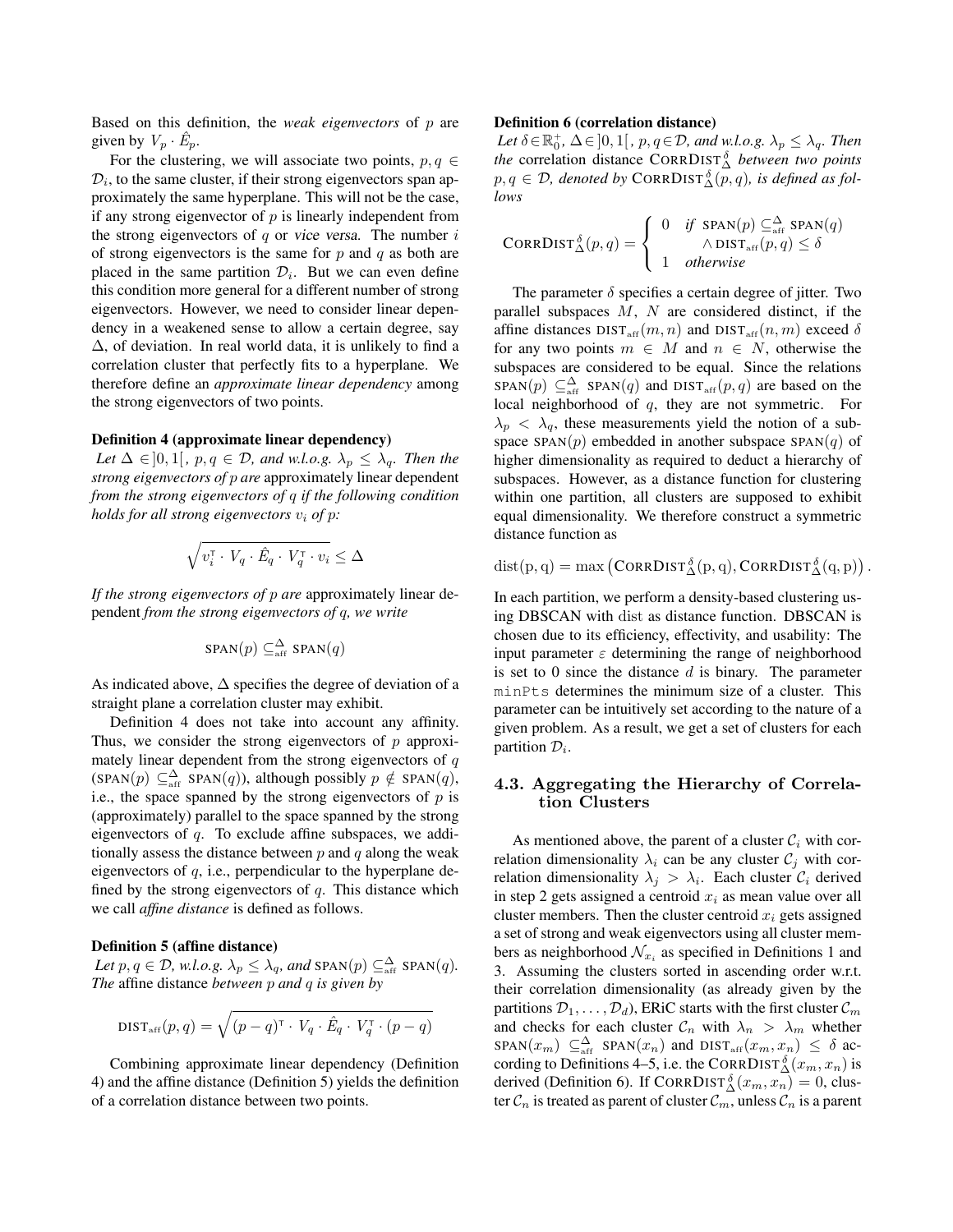Based on this definition, the *weak eigenvectors* of p are given by  $V_p \cdot \hat{E}_p$ .

For the clustering, we will associate two points,  $p, q \in$  $\mathcal{D}_i$ , to the same cluster, if their strong eigenvectors span approximately the same hyperplane. This will not be the case, if any strong eigenvector of  $p$  is linearly independent from the strong eigenvectors of  $q$  or vice versa. The number  $i$ of strong eigenvectors is the same for  $p$  and  $q$  as both are placed in the same partition  $\mathcal{D}_i$ . But we can even define this condition more general for a different number of strong eigenvectors. However, we need to consider linear dependency in a weakened sense to allow a certain degree, say  $\Delta$ , of deviation. In real world data, it is unlikely to find a correlation cluster that perfectly fits to a hyperplane. We therefore define an *approximate linear dependency* among the strong eigenvectors of two points.

#### Definition 4 (approximate linear dependency)

Let  $\Delta \in ]0,1[$ ,  $p,q \in \mathcal{D}$ , and w.l.o.g.  $\lambda_p \leq \lambda_q$ . Then the *strong eigenvectors of* p *are* approximately linear dependent *from the strong eigenvectors of* q *if the following condition holds for all strong eigenvectors*  $v_i$  *of*  $p$ *:* 

$$
\sqrt{v_i^{\scriptscriptstyle\mathsf{T}} \cdot V_q \cdot \hat{E}_q \cdot V_q^{\scriptscriptstyle\mathsf{T}} \cdot v_i} \leq \Delta
$$

*If the strong eigenvectors of* p *are* approximately linear dependent *from the strong eigenvectors of* q*, we write*

$$
SPAN(p) \subseteq_{\text{aff}}^{\Delta} SPAN(q)
$$

As indicated above,  $\Delta$  specifies the degree of deviation of a straight plane a correlation cluster may exhibit.

Definition 4 does not take into account any affinity. Thus, we consider the strong eigenvectors of  $p$  approximately linear dependent from the strong eigenvectors of  $q$  $(SPAN(p) \subseteq_{aff}^{\Delta} SPAN(q))$ , although possibly  $p \notin SPAN(q)$ , i.e., the space spanned by the strong eigenvectors of  $p$  is (approximately) parallel to the space spanned by the strong eigenvectors of  $q$ . To exclude affine subspaces, we additionally assess the distance between  $p$  and  $q$  along the weak eigenvectors of q, i.e., perpendicular to the hyperplane defined by the strong eigenvectors of  $q$ . This distance which we call *affine distance* is defined as follows.

#### Definition 5 (affine distance)

Let  $p, q \in \mathcal{D}$ , w.l.o.g.  $\lambda_p \leq \lambda_q$ , and  $\text{span}(p) \subseteq_{\text{aff}}^{\Delta} \text{span}(q)$ . *The* affine distance *between* p *and* q *is given by*

$$
DIST_{\text{aff}}(p,q) = \sqrt{(p-q)^{\top} \cdot V_q \cdot \hat{E}_q \cdot V_q^{\top} \cdot (p-q)}
$$

Combining approximate linear dependency (Definition 4) and the affine distance (Definition 5) yields the definition of a correlation distance between two points.

#### Definition 6 (correlation distance)

Let  $\delta \in \mathbb{R}^+_0$ ,  $\Delta \in ]0,1[$ ,  $p, q \in \mathcal{D}$ , and w.l.o.g.  $\lambda_p \leq \lambda_q$ . Then *the* correlation distance CORRDIST<sup>δ</sup> *between two points*  $p, q \in \mathcal{D}$ , denoted by CORRDIST $\stackrel{\delta}{\Delta}(p, q)$ , is defined as fol*lows*

$$
\text{CORRDIST}_{\Delta}^{\delta}(p,q) = \left\{ \begin{array}{ll} 0 & \text{if } \text{SPAN}(p) \subseteq^{\Delta}_{\text{aff}} \text{SPAN}(q) \\ \wedge \text{DIST}_{\text{aff}}(p,q) \leq \delta \\ 1 & \text{otherwise} \end{array} \right.
$$

The parameter  $\delta$  specifies a certain degree of jitter. Two parallel subspaces  $M$ ,  $N$  are considered distinct, if the affine distances  $DIST_{\text{aff}}(m, n)$  and  $DIST_{\text{aff}}(n, m)$  exceed  $\delta$ for any two points  $m \in M$  and  $n \in N$ , otherwise the subspaces are considered to be equal. Since the relations  $SPAN(p) \subseteq_{\text{aff}}^{\Delta}$  SPAN $(q)$  and DIST<sub>aff</sub>  $(p, q)$  are based on the local neighborhood of q, they are not symmetric. For  $\lambda_p < \lambda_q$ , these measurements yield the notion of a subspace  $SPAN(p)$  embedded in another subspace  $SPAN(q)$  of higher dimensionality as required to deduct a hierarchy of subspaces. However, as a distance function for clustering within one partition, all clusters are supposed to exhibit equal dimensionality. We therefore construct a symmetric distance function as

$$
\text{dist}(p,q) = \max\left(\text{CorrDist}_{\Delta}^{\delta}(p,q), \text{CorrDist}_{\Delta}^{\delta}(q,p)\right).
$$

In each partition, we perform a density-based clustering using DBSCAN with dist as distance function. DBSCAN is chosen due to its efficiency, effectivity, and usability: The input parameter  $\varepsilon$  determining the range of neighborhood is set to  $0$  since the distance  $d$  is binary. The parameter minPts determines the minimum size of a cluster. This parameter can be intuitively set according to the nature of a given problem. As a result, we get a set of clusters for each partition  $\mathcal{D}_i$ .

## $\frac{35}{2}$  tion Clusters

As mentioned above, the parent of a cluster  $\mathcal{C}_i$  with correlation dimensionality  $\lambda_i$  can be any cluster  $C_j$  with correlation dimensionality  $\lambda_j > \lambda_i$ . Each cluster  $\mathcal{C}_i$  derived in step 2 gets assigned a centroid  $x_i$  as mean value over all cluster members. Then the cluster centroid  $x_i$  gets assigned a set of strong and weak eigenvectors using all cluster members as neighborhood  $\mathcal{N}_{x_i}$  as specified in Definitions 1 and 3. Assuming the clusters sorted in ascending order w.r.t. their correlation dimensionality (as already given by the partitions  $\mathcal{D}_1, \ldots, \mathcal{D}_d$ , ERiC starts with the first cluster  $\mathcal{C}_m$ and checks for each cluster  $\mathcal{C}_n$  with  $\lambda_n > \lambda_m$  whether  $\text{SPAN}(x_m) \subseteq \Delta \atop \text{aff} \text{SPAN}(x_n) \text{ and } \text{DIST}_{\text{aff}}(x_m, x_n) \leq \delta \text{ ac-}$ cording to Definitions 4–5, i.e. the CORRDIST $\stackrel{\delta}{\Delta}(x_m, x_n)$  is derived (Definition 6). If  $CORRDIST_{\Delta}^{\delta}(x_m, x_n) = 0$ , cluster  $\mathcal{C}_n$  is treated as parent of cluster  $\mathcal{C}_m$ , unless  $\mathcal{C}_n$  is a parent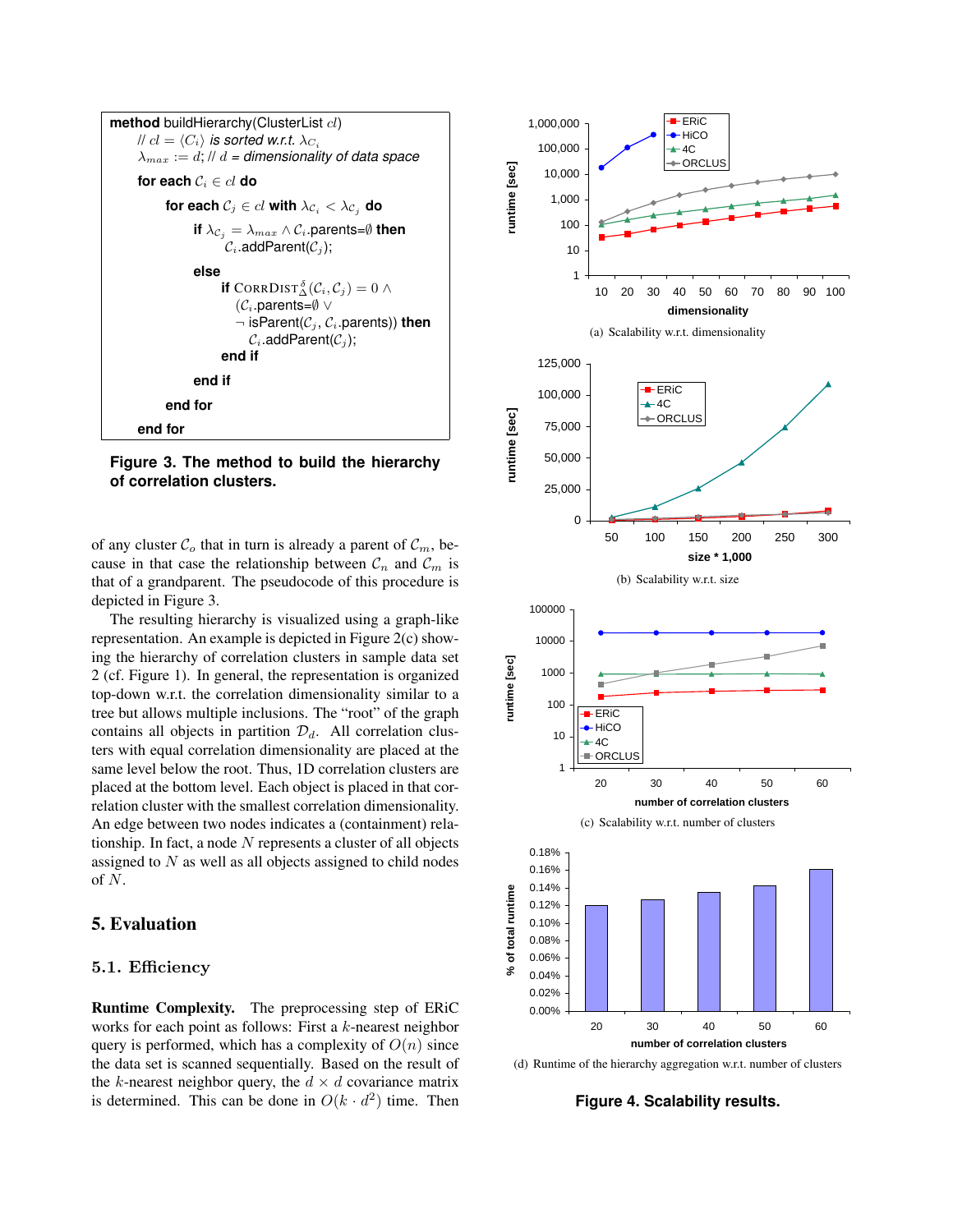

**Figure 3. The method to build the hierarchy of correlation clusters.**

of any cluster  $\mathcal{C}_o$  that in turn is already a parent of  $\mathcal{C}_m$ , because in that case the relationship between  $\mathcal{C}_n$  and  $\mathcal{C}_m$  is that of a grandparent. The pseudocode of this procedure is depicted in Figure 3.

The resulting hierarchy is visualized using a graph-like representation. An example is depicted in Figure 2(c) showing the hierarchy of correlation clusters in sample data set 2 (cf. Figure 1). In general, the representation is organized top-down w.r.t. the correlation dimensionality similar to a tree but allows multiple inclusions. The "root" of the graph contains all objects in partition  $\mathcal{D}_d$ . All correlation clusters with equal correlation dimensionality are placed at the same level below the root. Thus, 1D correlation clusters are placed at the bottom level. Each object is placed in that correlation cluster with the smallest correlation dimensionality. An edge between two nodes indicates a (containment) relationship. In fact, a node  $N$  represents a cluster of all objects assigned to  $N$  as well as all objects assigned to child nodes of N.

## 5. Evaluation

### **5.1. Efficiency**

Runtime Complexity. The preprocessing step of ERiC works for each point as follows: First a  $k$ -nearest neighbor query is performed, which has a complexity of  $O(n)$  since the data set is scanned sequentially. Based on the result of the k-nearest neighbor query, the  $d \times d$  covariance matrix is determined. This can be done in  $O(k \cdot d^2)$  time. Then



(d) Runtime of the hierarchy aggregation w.r.t. number of clusters

**Figure 4. Scalability results.**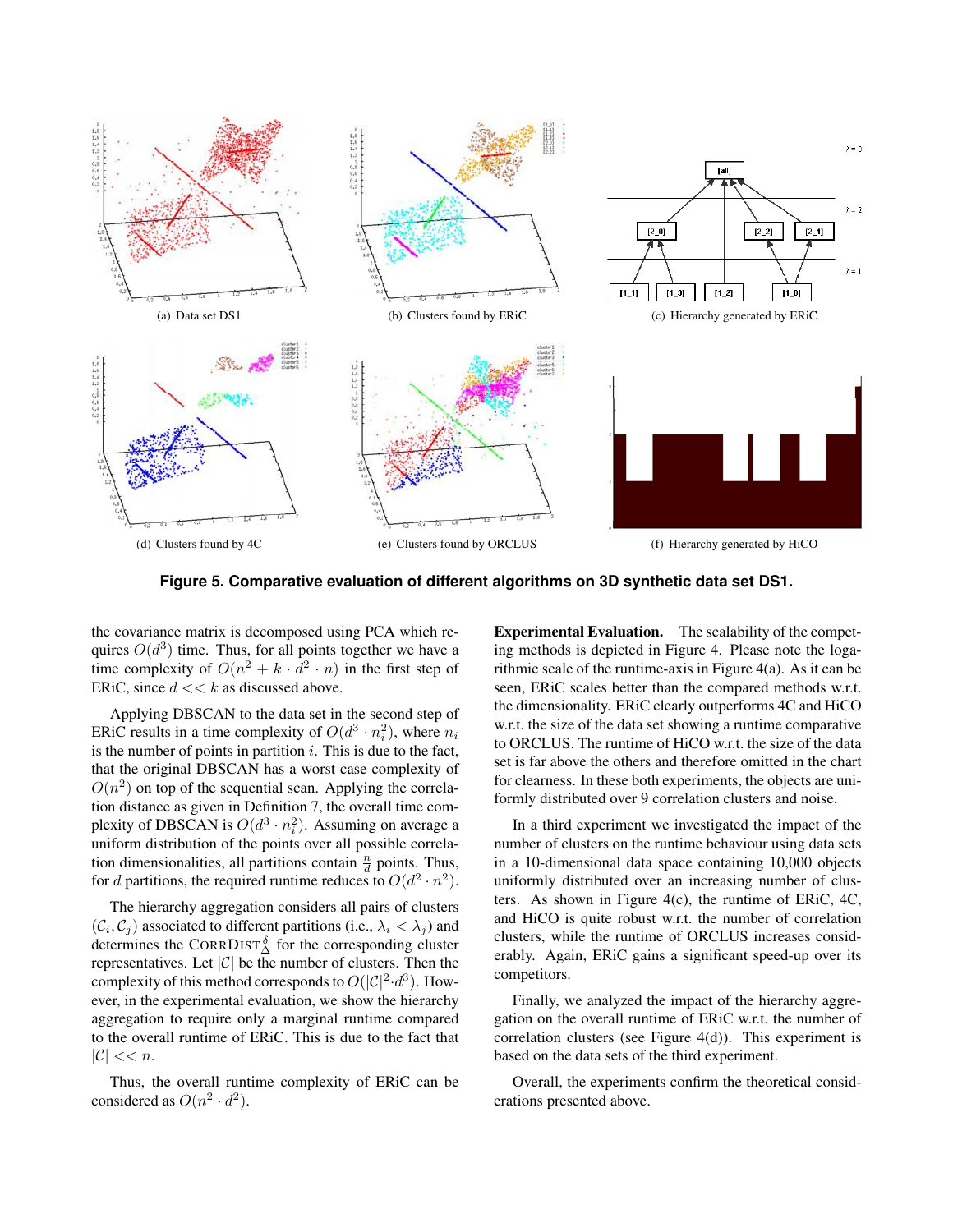

**Figure 5. Comparative evaluation of different algorithms on 3D synthetic data set DS1.**

the covariance matrix is decomposed using PCA which requires  $O(d^3)$  time. Thus, for all points together we have a time complexity of  $O(n^2 + k \cdot d^2 \cdot n)$  in the first step of ERiC, since  $d \ll k$  as discussed above.

Applying DBSCAN to the data set in the second step of ERIC results in a time complexity of  $O(d^3 \cdot n_i^2)$ , where  $n_i$ is the number of points in partition  $i$ . This is due to the fact, that the original DBSCAN has a worst case complexity of  $O(n^2)$  on top of the sequential scan. Applying the correlation distance as given in Definition 7, the overall time complexity of DBSCAN is  $O(d^3 \cdot n_i^2)$ . Assuming on average a uniform distribution of the points over all possible correlation dimensionalities, all partitions contain  $\frac{n}{d}$  points. Thus, for d partitions, the required runtime reduces to  $O(d^2 \cdot n^2)$ .

The hierarchy aggregation considers all pairs of clusters  $(C_i, C_j)$  associated to different partitions (i.e.,  $\lambda_i < \lambda_j$ ) and determines the CORRDIST $_{\Delta}^{\delta}$  for the corresponding cluster representatives. Let  $|C|$  be the number of clusters. Then the complexity of this method corresponds to  $O(|\mathcal{C}|^2 \cdot d^3)$ . However, in the experimental evaluation, we show the hierarchy aggregation to require only a marginal runtime compared to the overall runtime of ERiC. This is due to the fact that  $|\mathcal{C}| \ll n$ .

Thus, the overall runtime complexity of ERiC can be considered as  $O(n^2 \cdot d^2)$ .

Experimental Evaluation. The scalability of the competing methods is depicted in Figure 4. Please note the logarithmic scale of the runtime-axis in Figure 4(a). As it can be seen, ERiC scales better than the compared methods w.r.t. the dimensionality. ERiC clearly outperforms 4C and HiCO w.r.t. the size of the data set showing a runtime comparative to ORCLUS. The runtime of HiCO w.r.t. the size of the data set is far above the others and therefore omitted in the chart for clearness. In these both experiments, the objects are uniformly distributed over 9 correlation clusters and noise.

In a third experiment we investigated the impact of the number of clusters on the runtime behaviour using data sets in a 10-dimensional data space containing 10,000 objects uniformly distributed over an increasing number of clusters. As shown in Figure 4(c), the runtime of ERiC, 4C, and HiCO is quite robust w.r.t. the number of correlation clusters, while the runtime of ORCLUS increases considerably. Again, ERiC gains a significant speed-up over its competitors.

Finally, we analyzed the impact of the hierarchy aggregation on the overall runtime of ERiC w.r.t. the number of correlation clusters (see Figure 4(d)). This experiment is based on the data sets of the third experiment.

Overall, the experiments confirm the theoretical considerations presented above.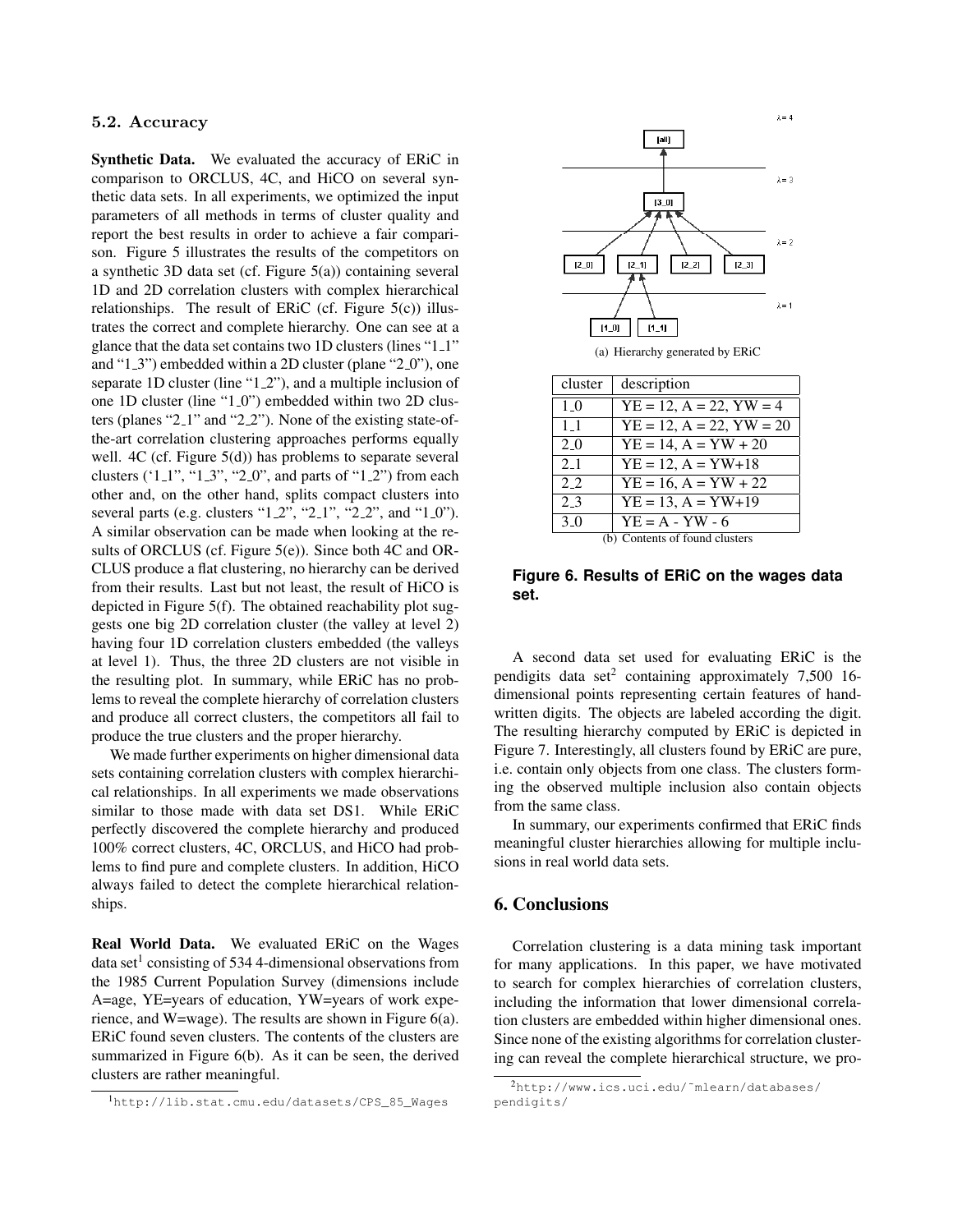## **5.2. Accuracy**

Synthetic Data. We evaluated the accuracy of ERiC in comparison to ORCLUS, 4C, and HiCO on several synthetic data sets. In all experiments, we optimized the input parameters of all methods in terms of cluster quality and report the best results in order to achieve a fair comparison. Figure 5 illustrates the results of the competitors on a synthetic 3D data set (cf. Figure 5(a)) containing several 1D and 2D correlation clusters with complex hierarchical relationships. The result of ERiC (cf. Figure 5(c)) illustrates the correct and complete hierarchy. One can see at a glance that the data set contains two 1D clusters (lines "1<sub>-1</sub>" and " $1.3$ ") embedded within a 2D cluster (plane " $2.0$ "), one separate 1D cluster (line "1\_2"), and a multiple inclusion of one 1D cluster (line "1 0") embedded within two 2D clusters (planes "2 1" and "2 2"). None of the existing state-ofthe-art correlation clustering approaches performs equally well. 4C (cf. Figure 5(d)) has problems to separate several clusters  $('1.1", "1.3", "2.0", and parts of "1.2") from each$ other and, on the other hand, splits compact clusters into several parts (e.g. clusters " $1.2$ ", " $2.1$ ", " $2.2$ ", and " $1.0$ "). A similar observation can be made when looking at the results of ORCLUS (cf. Figure 5(e)). Since both 4C and OR-CLUS produce a flat clustering, no hierarchy can be derived from their results. Last but not least, the result of HiCO is depicted in Figure 5(f). The obtained reachability plot suggests one big 2D correlation cluster (the valley at level 2) having four 1D correlation clusters embedded (the valleys at level 1). Thus, the three 2D clusters are not visible in the resulting plot. In summary, while ERiC has no problems to reveal the complete hierarchy of correlation clusters and produce all correct clusters, the competitors all fail to produce the true clusters and the proper hierarchy.

We made further experiments on higher dimensional data sets containing correlation clusters with complex hierarchical relationships. In all experiments we made observations similar to those made with data set DS1. While ERiC perfectly discovered the complete hierarchy and produced 100% correct clusters, 4C, ORCLUS, and HiCO had problems to find pure and complete clusters. In addition, HiCO always failed to detect the complete hierarchical relationships.

Real World Data. We evaluated ERiC on the Wages  $data set<sup>1</sup> consisting of 534 4-dimensional observations from$ the 1985 Current Population Survey (dimensions include A=age, YE=years of education, YW=years of work experience, and W=wage). The results are shown in Figure 6(a). ERiC found seven clusters. The contents of the clusters are summarized in Figure 6(b). As it can be seen, the derived clusters are rather meaningful.





| cluster                        | description                      |
|--------------------------------|----------------------------------|
| 1 <sub>0</sub>                 | $YE = 12$ , $A = 22$ , $YW = 4$  |
| $1\;1$                         | $YE = 12$ , $A = 22$ , $YW = 20$ |
| 2.0                            | $YE = 14, A = YW + 20$           |
| 2.1                            | $YE = 12$ , $A = YW + 18$        |
| 2.2                            | $YE = 16, A = YW + 22$           |
| 2.3                            | $YE = 13$ , $A = YW + 19$        |
| 3 <sub>0</sub>                 | $YE = A - YW - 6$                |
| (b) Contents of found clusters |                                  |

**Figure 6. Results of ERiC on the wages data set.**

A second data set used for evaluating ERiC is the pendigits data set<sup>2</sup> containing approximately  $7,500$  16dimensional points representing certain features of handwritten digits. The objects are labeled according the digit. The resulting hierarchy computed by ERiC is depicted in Figure 7. Interestingly, all clusters found by ERiC are pure, i.e. contain only objects from one class. The clusters forming the observed multiple inclusion also contain objects from the same class.

In summary, our experiments confirmed that ERiC finds meaningful cluster hierarchies allowing for multiple inclusions in real world data sets.

## 6. Conclusions

Correlation clustering is a data mining task important for many applications. In this paper, we have motivated to search for complex hierarchies of correlation clusters, including the information that lower dimensional correlation clusters are embedded within higher dimensional ones. Since none of the existing algorithms for correlation clustering can reveal the complete hierarchical structure, we pro-

<sup>1</sup>http://lib.stat.cmu.edu/datasets/CPS\_85\_Wages

<sup>2</sup>http://www.ics.uci.edu/˜mlearn/databases/ pendigits/